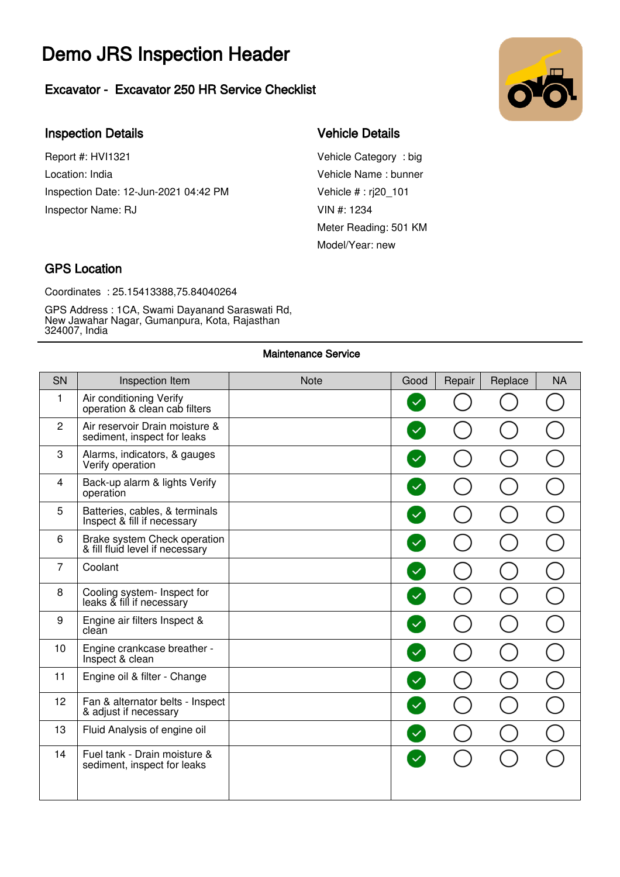# Demo JRS Inspection Header

### Excavator - Excavator 250 HR Service Checklist

#### Inspection Details

Report #: HVI1321 Location: India Inspection Date: 12-Jun-2021 04:42 PM Inspector Name: RJ

## Vehicle Details

Vehicle Category : big Vehicle Name : bunner Vehicle # : rj20\_101 VIN #: 1234 Meter Reading: 501 KM Model/Year: new

#### GPS Location

Coordinates : 25.15413388,75.84040264

GPS Address : 1CA, Swami Dayanand Saraswati Rd, New Jawahar Nagar, Gumanpura, Kota, Rajasthan 324007, India

| SN             | Inspection Item                                                 | <b>Note</b> | Good         | Repair | Replace | <b>NA</b> |
|----------------|-----------------------------------------------------------------|-------------|--------------|--------|---------|-----------|
| 1              | Air conditioning Verify<br>operation & clean cab filters        |             |              |        |         |           |
| $\overline{c}$ | Air reservoir Drain moisture &<br>sediment, inspect for leaks   |             |              |        |         |           |
| 3              | Alarms, indicators, & gauges<br>Verify operation                |             |              |        |         |           |
| $\overline{4}$ | Back-up alarm & lights Verify<br>operation                      |             |              |        |         |           |
| 5              | Batteries, cables, & terminals<br>Inspect & fill if necessary   |             |              |        |         |           |
| 6              | Brake system Check operation<br>& fill fluid level if necessary |             |              |        |         |           |
| 7              | Coolant                                                         |             | $\checkmark$ |        |         |           |
| 8              | Cooling system- Inspect for<br>leaks & fill if necessary        |             |              |        |         |           |
| 9              | Engine air filters Inspect &<br>clean                           |             |              |        |         |           |
| 10             | Engine crankcase breather -<br>Inspect & clean                  |             |              |        |         |           |
| 11             | Engine oil & filter - Change                                    |             | $\checkmark$ |        |         |           |
| 12             | Fan & alternator belts - Inspect<br>& adjust if necessary       |             |              |        |         |           |
| 13             | Fluid Analysis of engine oil                                    |             | $\checkmark$ |        |         |           |
| 14             | Fuel tank - Drain moisture &<br>sediment, inspect for leaks     |             |              |        |         |           |



#### Maintenance Service